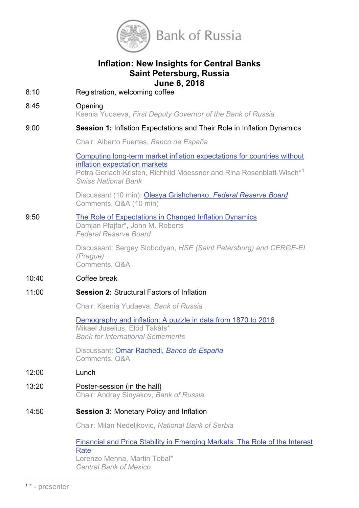

# **Inflation: New Insights for Central Banks Saint Petersburg, Russia June 6, 2018**

8:10 Registration, welcoming coffee

# 8:45 Opening

Ksenia Yudaeva, *First Deputy Governor of the Bank of Russia*

### 9:00 **Session 1:** Inflation Expectations and Their Role in Inflation Dynamics

Chair: Alberto Fuertes, *Banco de España*

Computing long‐[term market inflation expectations for countries without](http://www.cbr.ru/StaticHtml/File/47456/vich.pdf)  [inflation expectation markets](http://www.cbr.ru/StaticHtml/File/47456/vich.pdf)

Petra Gerlach-Kristen, Richhild Moessner and Rina Rosenblatt-Wisch<sup>\*[1](#page-0-0)</sup> *Swiss National Bank*

Discussant (10 min): Olesya Grishchenko, *[Federal Reserve Board](http://www.cbr.ru/StaticHtml/File/47456/girishenko.pdf)* Comments, Q&A (10 min)

# 9:50 [The Role of Expectations in Changed Inflation Dynamics](http://www.cbr.ru/StaticHtml/File/47456/pfifer.pdf) Damjan Pfajfar\***,** John M. Roberts

*Federal Reserve Board*

Discussant: Sergey Slobodyan, *HSE (Saint Petersburg) and CERGE-EI (Prague)* Comments, Q&A

# 10:40 Coffee break

# 11:00 **Session 2:** Structural Factors of Inflation

Chair: Ksenia Yudaeva, *Bank of Russia*

[Demography and inflation: A puzzle in data from 1870 to 2016](http://www.cbr.ru/StaticHtml/File/47456/takats.pdf) Mikael Juselius, Előd Takáts\* *Bank for International Settlements*

Discussant: Omar Rachedi, *[Banco de España](http://www.cbr.ru/StaticHtml/File/47456/rashedi_pres.pdf)* Comments, Q&A

#### 12:00 Lunch

13:20 Poster-session (in the hall) Chair: Andrey Sinyakov, *Bank of Russia*

# 14:50 **Session 3:** Monetary Policy and Inflation

Chair: Milan Nedeljkovic, *National Bank of Serbia*

# [Financial and Price Stability in Emerging Markets: The](http://www.cbr.ru/StaticHtml/File/47456/tobal.pdf) Role of the Interest **[Rate](http://www.cbr.ru/StaticHtml/File/47456/tobal.pdf)** Lorenzo Menna, Martin Tobal\*

*Central Bank of Mexico*

<span id="page-0-0"></span> <sup>1</sup> \* - presenter